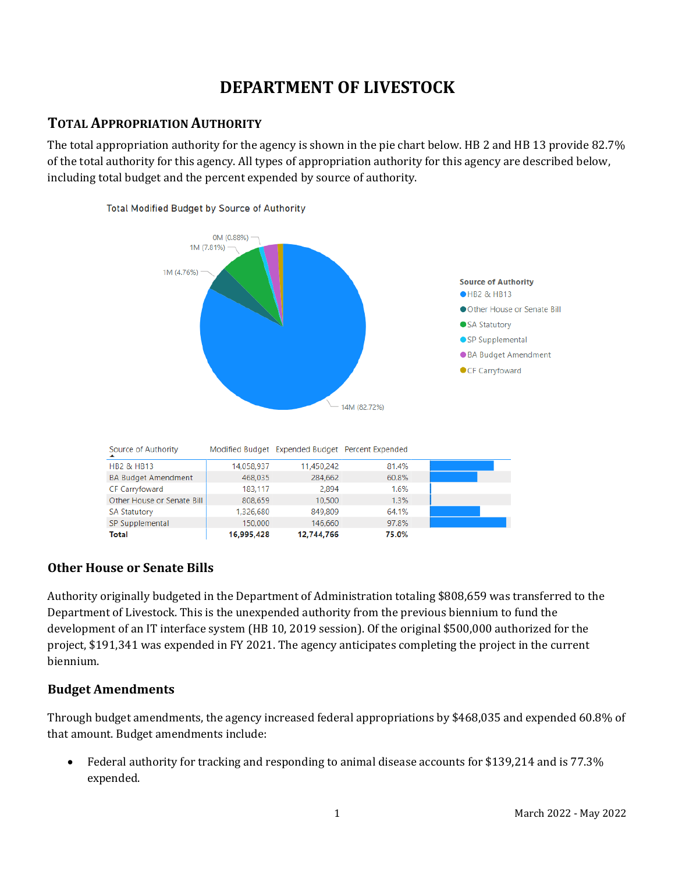# **DEPARTMENT OF LIVESTOCK**

## **TOTAL APPROPRIATION AUTHORITY**

The total appropriation authority for the agency is shown in the pie chart below. HB 2 and HB 13 provide 82.7% of the total authority for this agency. All types of appropriation authority for this agency are described below, including total budget and the percent expended by source of authority.



### **Other House or Senate Bills**

Authority originally budgeted in the Department of Administration totaling \$808,659 was transferred to the Department of Livestock. This is the unexpended authority from the previous biennium to fund the development of an IT interface system (HB 10, 2019 session). Of the original \$500,000 authorized for the project, \$191,341 was expended in FY 2021. The agency anticipates completing the project in the current biennium.

### **Budget Amendments**

Through budget amendments, the agency increased federal appropriations by \$468,035 and expended 60.8% of that amount. Budget amendments include:

• Federal authority for tracking and responding to animal disease accounts for \$139,214 and is 77.3% expended.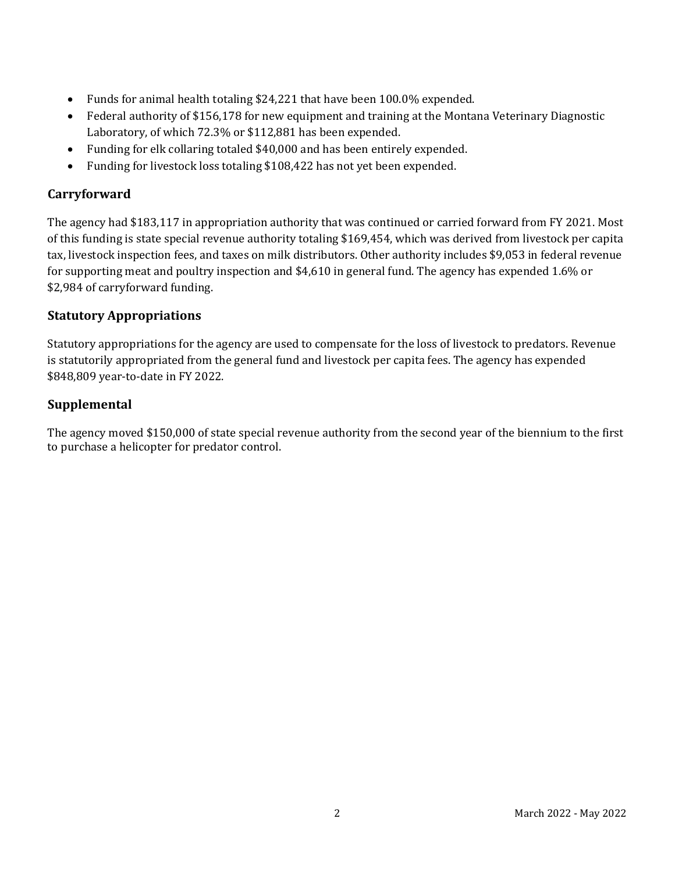- Funds for animal health totaling \$24,221 that have been 100.0% expended.
- Federal authority of \$156,178 for new equipment and training at the Montana Veterinary Diagnostic Laboratory, of which 72.3% or \$112,881 has been expended.
- Funding for elk collaring totaled \$40,000 and has been entirely expended.
- Funding for livestock loss totaling \$108,422 has not yet been expended.

## **Carryforward**

The agency had \$183,117 in appropriation authority that was continued or carried forward from FY 2021. Most of this funding is state special revenue authority totaling \$169,454, which was derived from livestock per capita tax, livestock inspection fees, and taxes on milk distributors. Other authority includes \$9,053 in federal revenue for supporting meat and poultry inspection and \$4,610 in general fund. The agency has expended 1.6% or \$2,984 of carryforward funding.

### **Statutory Appropriations**

Statutory appropriations for the agency are used to compensate for the loss of livestock to predators. Revenue is statutorily appropriated from the general fund and livestock per capita fees. The agency has expended \$848,809 year-to-date in FY 2022.

## **Supplemental**

The agency moved \$150,000 of state special revenue authority from the second year of the biennium to the first to purchase a helicopter for predator control.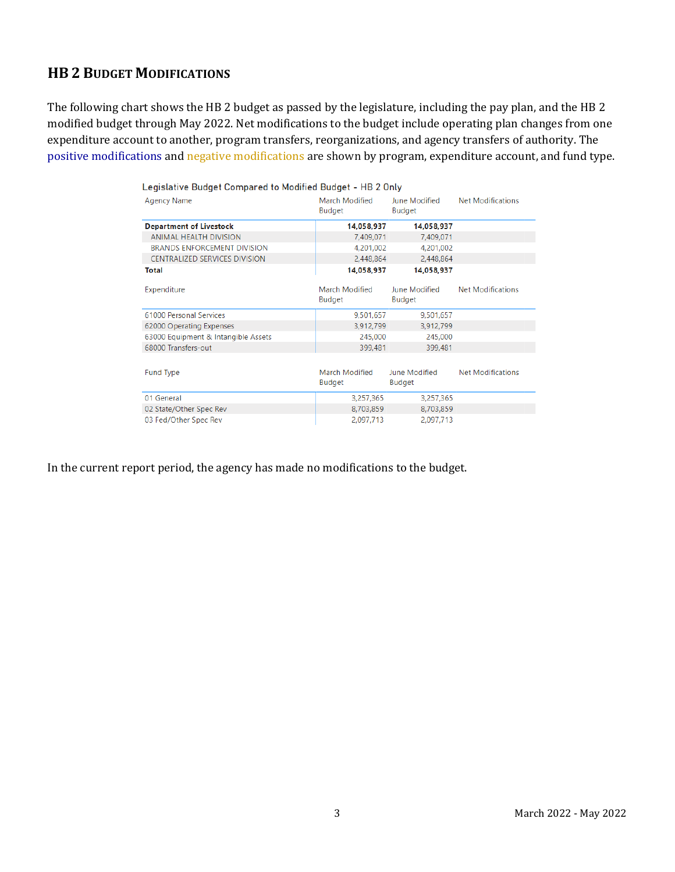## **HB 2 BUDGET MODIFICATIONS**

The following chart shows the HB 2 budget as passed by the legislature, including the pay plan, and the HB 2 modified budget through May 2022. Net modifications to the budget include operating plan changes from one expenditure account to another, program transfers, reorganizations, and agency transfers of authority. The positive modifications and negative modifications are shown by program, expenditure account, and fund type.

| Legislative Budget Compared to Modified Budget - HB 2 Only |                          |                                |                          |  |  |  |  |  |
|------------------------------------------------------------|--------------------------|--------------------------------|--------------------------|--|--|--|--|--|
| <b>Agency Name</b>                                         | March Modified<br>Budget | June Modified<br>Budget        | <b>Net Modifications</b> |  |  |  |  |  |
| <b>Department of Livestock</b>                             | 14,058,937               | 14,058,937                     |                          |  |  |  |  |  |
| <b>ANIMAL HEALTH DIVISION</b>                              | 7,409,071                | 7,409,071                      |                          |  |  |  |  |  |
| <b>BRANDS ENFORCEMENT DIVISION</b>                         | 4,201,002                | 4,201,002                      |                          |  |  |  |  |  |
| CENTRALIZED SERVICES DIVISION                              | 2,448,864                | 2,448,864                      |                          |  |  |  |  |  |
| <b>Total</b>                                               | 14,058,937               | 14,058,937                     |                          |  |  |  |  |  |
| Expenditure                                                | March Modified<br>Budget | June Modified<br>Budget        | <b>Net Modifications</b> |  |  |  |  |  |
| 61000 Personal Services                                    | 9,501,657                | 9,501,657                      |                          |  |  |  |  |  |
| 62000 Operating Expenses                                   | 3,912,799                | 3,912,799                      |                          |  |  |  |  |  |
| 63000 Equipment & Intangible Assets                        | 245,000                  | 245,000                        |                          |  |  |  |  |  |
| 68000 Transfers-out                                        | 399,481                  | 399,481                        |                          |  |  |  |  |  |
| <b>Fund Type</b>                                           | March Modified<br>Budget | June Modified<br><b>Budget</b> | Net Modifications        |  |  |  |  |  |
| 01 General                                                 | 3,257,365                | 3,257,365                      |                          |  |  |  |  |  |
| 02 State/Other Spec Rev                                    | 8,703,859                | 8,703,859                      |                          |  |  |  |  |  |
| 03 Fed/Other Spec Rev                                      | 2,097,713                | 2,097,713                      |                          |  |  |  |  |  |

In the current report period, the agency has made no modifications to the budget.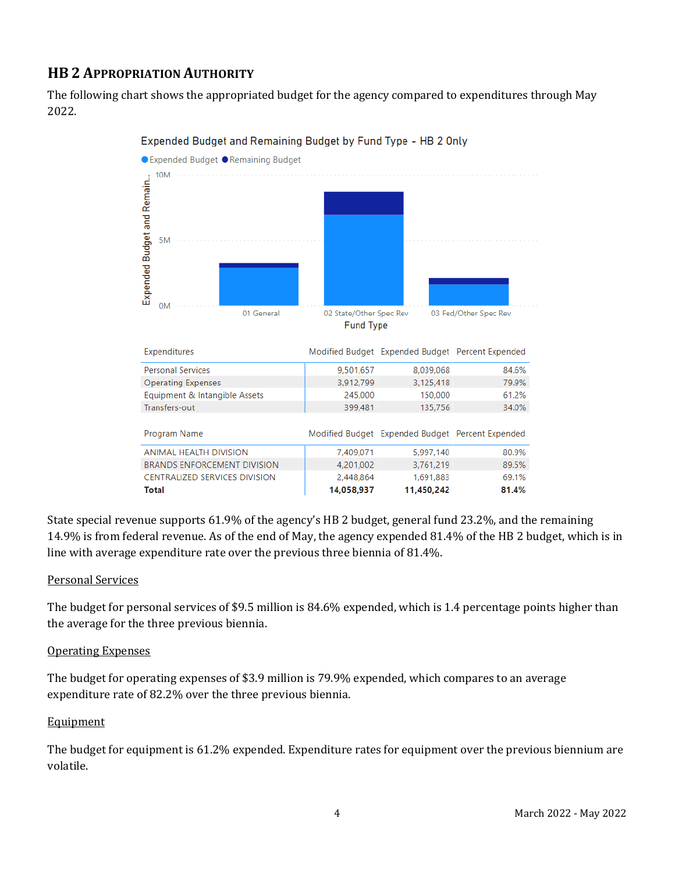## **HB 2 APPROPRIATION AUTHORITY**

The following chart shows the appropriated budget for the agency compared to expenditures through May 2022.



Expended Budget and Remaining Budget by Fund Type - HB 2 Only

State special revenue supports 61.9% of the agency's HB 2 budget, general fund 23.2%, and the remaining 14.9% is from federal revenue. As of the end of May, the agency expended 81.4% of the HB 2 budget, which is in line with average expenditure rate over the previous three biennia of 81.4%.

#### Personal Services

The budget for personal services of \$9.5 million is 84.6% expended, which is 1.4 percentage points higher than the average for the three previous biennia.

#### Operating Expenses

The budget for operating expenses of \$3.9 million is 79.9% expended, which compares to an average expenditure rate of 82.2% over the three previous biennia.

#### **Equipment**

The budget for equipment is 61.2% expended. Expenditure rates for equipment over the previous biennium are volatile.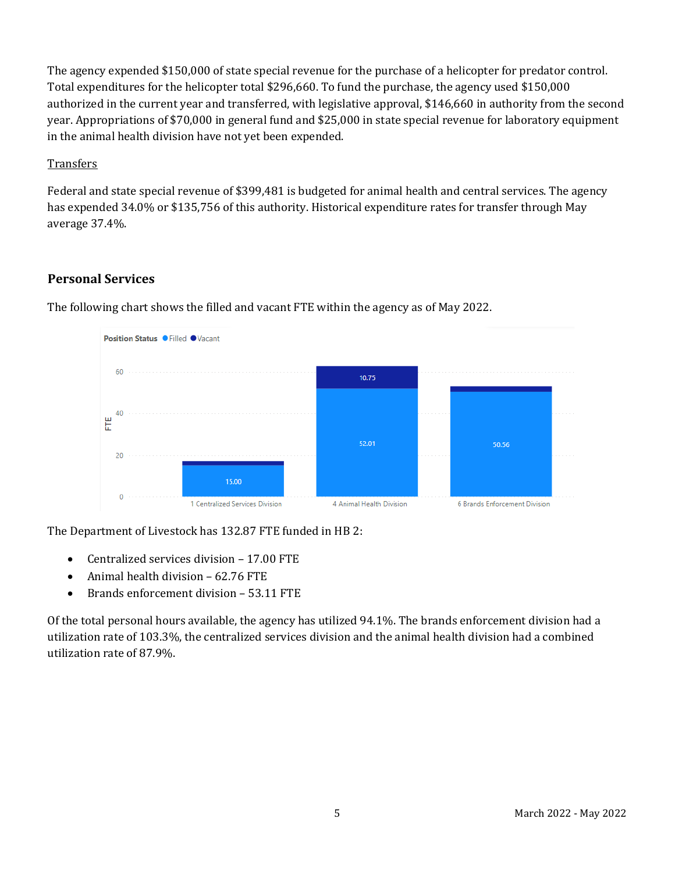The agency expended \$150,000 of state special revenue for the purchase of a helicopter for predator control. Total expenditures for the helicopter total \$296,660. To fund the purchase, the agency used \$150,000 authorized in the current year and transferred, with legislative approval, \$146,660 in authority from the second year. Appropriations of \$70,000 in general fund and \$25,000 in state special revenue for laboratory equipment in the animal health division have not yet been expended.

#### **Transfers**

Federal and state special revenue of \$399,481 is budgeted for animal health and central services. The agency has expended 34.0% or \$135,756 of this authority. Historical expenditure rates for transfer through May average 37.4%.

### **Personal Services**



The following chart shows the filled and vacant FTE within the agency as of May 2022.

The Department of Livestock has 132.87 FTE funded in HB 2:

- Centralized services division 17.00 FTE
- Animal health division 62.76 FTE
- Brands enforcement division 53.11 FTE

Of the total personal hours available, the agency has utilized 94.1%. The brands enforcement division had a utilization rate of 103.3%, the centralized services division and the animal health division had a combined utilization rate of 87.9%.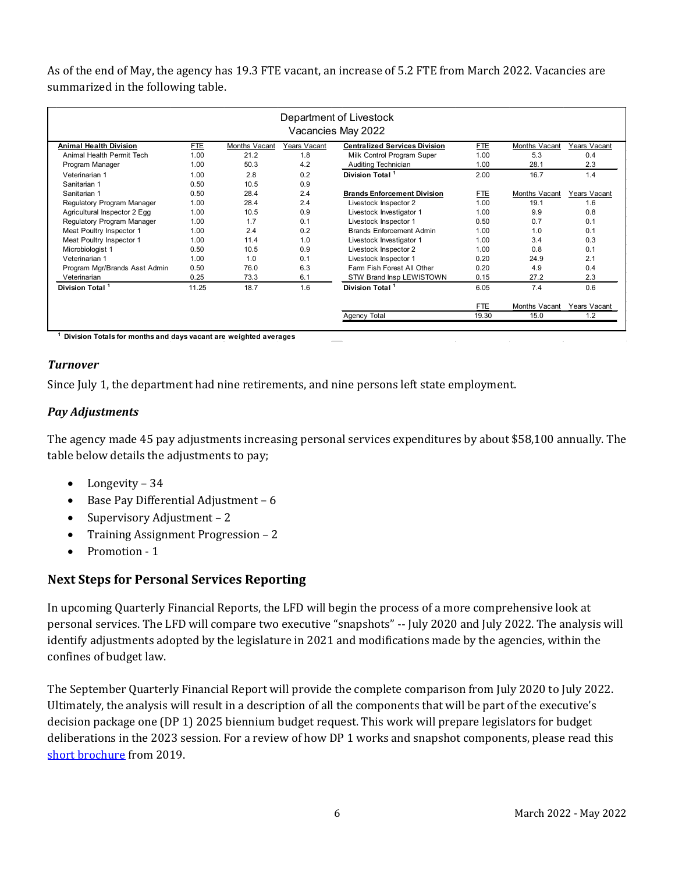As of the end of May, the agency has 19.3 FTE vacant, an increase of 5.2 FTE from March 2022. Vacancies are summarized in the following table.

| Department of Livestock<br>Vacancies May 2022 |            |               |              |                                      |            |               |              |  |
|-----------------------------------------------|------------|---------------|--------------|--------------------------------------|------------|---------------|--------------|--|
| <b>Animal Health Division</b>                 | <b>FTE</b> | Months Vacant | Years Vacant | <b>Centralized Services Division</b> | <b>FTE</b> | Months Vacant | Years Vacant |  |
| Animal Health Permit Tech                     | 1.00       | 21.2          | 1.8          | Milk Control Program Super           | 1.00       | 5.3           | 0.4          |  |
| Program Manager                               | 1.00       | 50.3          | 4.2          | Auditing Technician                  | 1.00       | 28.1          | 2.3          |  |
| Veterinarian 1                                | 1.00       | 2.8           | 0.2          | Division Total <sup>1</sup>          | 2.00       | 16.7          | 1.4          |  |
| Sanitarian 1                                  | 0.50       | 10.5          | 0.9          |                                      |            |               |              |  |
| Sanitarian 1                                  | 0.50       | 28.4          | 2.4          | <b>Brands Enforcement Division</b>   | <b>FTE</b> | Months Vacant | Years Vacant |  |
| Regulatory Program Manager                    | 1.00       | 28.4          | 2.4          | Livestock Inspector 2                | 1.00       | 19.1          | 1.6          |  |
| Agricultural Inspector 2 Egg                  | 1.00       | 10.5          | 0.9          | Livestock Investigator 1             | 1.00       | 9.9           | 0.8          |  |
| Regulatory Program Manager                    | 1.00       | 1.7           | 0.1          | Livestock Inspector 1                | 0.50       | 0.7           | 0.1          |  |
| Meat Poultry Inspector 1                      | 1.00       | 2.4           | 0.2          | <b>Brands Enforcement Admin</b>      | 1.00       | 1.0           | 0.1          |  |
| Meat Poultry Inspector 1                      | 1.00       | 11.4          | 1.0          | Livestock Investigator 1             | 1.00       | 3.4           | 0.3          |  |
| Microbiologist 1                              | 0.50       | 10.5          | 0.9          | Livestock Inspector 2                | 1.00       | 0.8           | 0.1          |  |
| Veterinarian 1                                | 1.00       | 1.0           | 0.1          | Livestock Inspector 1                | 0.20       | 24.9          | 2.1          |  |
| Program Mgr/Brands Asst Admin                 | 0.50       | 76.0          | 6.3          | Farm Fish Forest All Other           | 0.20       | 4.9           | 0.4          |  |
| Veterinarian                                  | 0.25       | 73.3          | 6.1          | STW Brand Insp LEWISTOWN             | 0.15       | 27.2          | 2.3          |  |
| Division Total <sup>1</sup>                   | 11.25      | 18.7          | 1.6          | Division Total <sup>1</sup>          | 6.05       | 7.4           | 0.6          |  |
|                                               |            |               |              |                                      | <b>FTE</b> | Months Vacant | Years Vacant |  |
|                                               |            |               |              | Agency Total                         | 19.30      | 15.0          | 1.2          |  |

**1 Division Totals for months and days vacant are weighted averages** 

#### *Turnover*

Since July 1, the department had nine retirements, and nine persons left state employment.

#### *Pay Adjustments*

The agency made 45 pay adjustments increasing personal services expenditures by about \$58,100 annually. The table below details the adjustments to pay;

- Longevity 34
- Base Pay Differential Adjustment 6
- Supervisory Adjustment 2
- Training Assignment Progression 2
- Promotion 1

#### **Next Steps for Personal Services Reporting**

In upcoming Quarterly Financial Reports, the LFD will begin the process of a more comprehensive look at personal services. The LFD will compare two executive "snapshots" -- July 2020 and July 2022. The analysis will identify adjustments adopted by the legislature in 2021 and modifications made by the agencies, within the confines of budget law.

The September Quarterly Financial Report will provide the complete comparison from July 2020 to July 2022. Ultimately, the analysis will result in a description of all the components that will be part of the executive's decision package one (DP 1) 2025 biennium budget request. This work will prepare legislators for budget deliberations in the 2023 session. For a review of how DP 1 works and snapshot components, please read this [short brochure](https://montana.maps.arcgis.com/apps/Cascade/index.html?appid=23095fcf15754f4fb38b63c58a884b97) from 2019.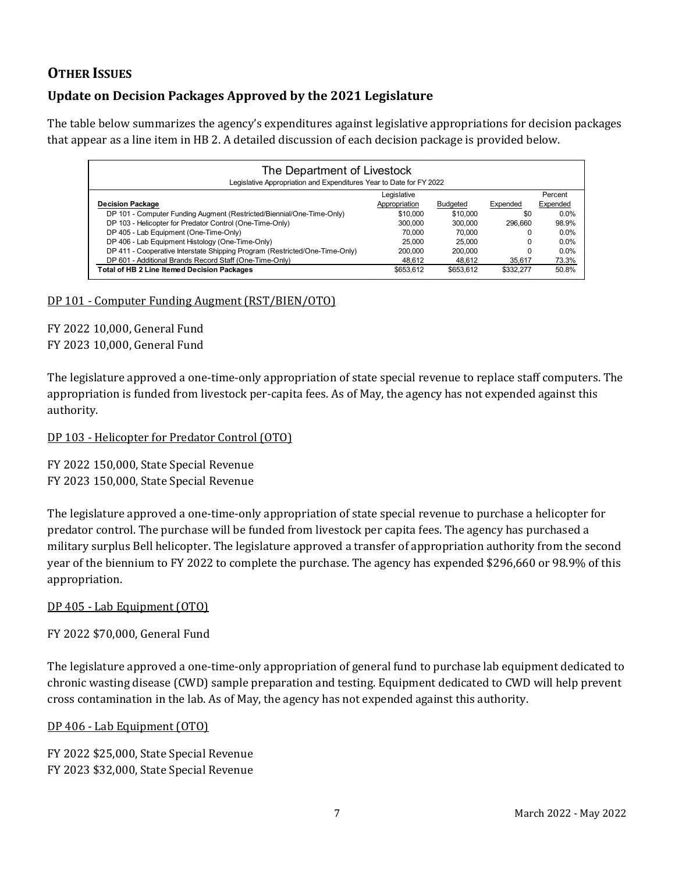## **OTHER ISSUES**

## **Update on Decision Packages Approved by the 2021 Legislature**

The table below summarizes the agency's expenditures against legislative appropriations for decision packages that appear as a line item in HB 2. A detailed discussion of each decision package is provided below.

| The Department of Livestock<br>Legislative Appropriation and Expenditures Year to Date for FY 2022 |               |                 |           |          |  |  |  |  |  |  |
|----------------------------------------------------------------------------------------------------|---------------|-----------------|-----------|----------|--|--|--|--|--|--|
|                                                                                                    |               | Percent         |           |          |  |  |  |  |  |  |
| <b>Decision Package</b>                                                                            | Appropriation | <b>Budgeted</b> | Expended  | Expended |  |  |  |  |  |  |
| DP 101 - Computer Funding Augment (Restricted/Biennial/One-Time-Only)                              | \$10,000      | \$10,000        | \$0       | $0.0\%$  |  |  |  |  |  |  |
| DP 103 - Helicopter for Predator Control (One-Time-Only)                                           | 300,000       | 300.000         | 296,660   | 98.9%    |  |  |  |  |  |  |
| DP 405 - Lab Equipment (One-Time-Only)                                                             | 70,000        | 70.000          | O         | $0.0\%$  |  |  |  |  |  |  |
| DP 406 - Lab Equipment Histology (One-Time-Only)                                                   | 25.000        | 25,000          |           | $0.0\%$  |  |  |  |  |  |  |
| DP 411 - Cooperative Interstate Shipping Program (Restricted/One-Time-Only)                        | 200,000       | 200,000         |           | $0.0\%$  |  |  |  |  |  |  |
| DP 601 - Additional Brands Record Staff (One-Time-Only)                                            | 48.612        | 48.612          | 35.617    | 73.3%    |  |  |  |  |  |  |
| <b>Total of HB 2 Line Itemed Decision Packages</b>                                                 | \$653.612     | \$653.612       | \$332.277 | 50.8%    |  |  |  |  |  |  |

#### DP 101 - Computer Funding Augment (RST/BIEN/OTO)

FY 2022 10,000, General Fund FY 2023 10,000, General Fund

The legislature approved a one-time-only appropriation of state special revenue to replace staff computers. The appropriation is funded from livestock per-capita fees. As of May, the agency has not expended against this authority.

#### DP 103 - Helicopter for Predator Control (OTO)

FY 2022 150,000, State Special Revenue FY 2023 150,000, State Special Revenue

The legislature approved a one-time-only appropriation of state special revenue to purchase a helicopter for predator control. The purchase will be funded from livestock per capita fees. The agency has purchased a military surplus Bell helicopter. The legislature approved a transfer of appropriation authority from the second year of the biennium to FY 2022 to complete the purchase. The agency has expended \$296,660 or 98.9% of this appropriation.

#### DP 405 - Lab Equipment (OTO)

FY 2022 \$70,000, General Fund

The legislature approved a one-time-only appropriation of general fund to purchase lab equipment dedicated to chronic wasting disease (CWD) sample preparation and testing. Equipment dedicated to CWD will help prevent cross contamination in the lab. As of May, the agency has not expended against this authority.

#### DP 406 - Lab Equipment (OTO)

FY 2022 \$25,000, State Special Revenue FY 2023 \$32,000, State Special Revenue